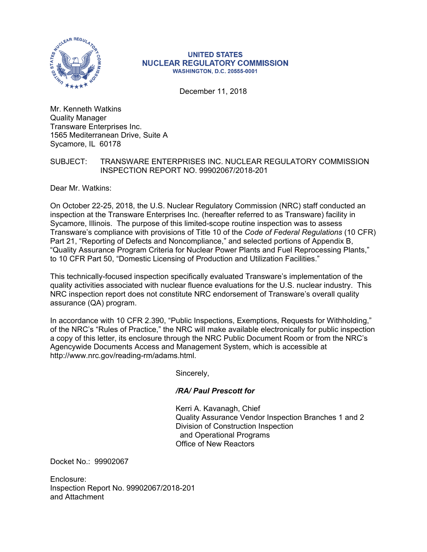

#### **UNITED STATES NUCLEAR REGULATORY COMMISSION WASHINGTON, D.C. 20555-0001**

December 11, 2018

Mr. Kenneth Watkins Quality Manager Transware Enterprises Inc. 1565 Mediterranean Drive, Suite A Sycamore, IL 60178

### SUBJECT: TRANSWARE ENTERPRISES INC. NUCLEAR REGULATORY COMMISSION INSPECTION REPORT NO. 99902067/2018-201

Dear Mr. Watkins:

On October 22-25, 2018, the U.S. Nuclear Regulatory Commission (NRC) staff conducted an inspection at the Transware Enterprises Inc. (hereafter referred to as Transware) facility in Sycamore, Illinois. The purpose of this limited-scope routine inspection was to assess Transware's compliance with provisions of Title 10 of the *Code of Federal Regulations* (10 CFR) Part 21, "Reporting of Defects and Noncompliance," and selected portions of Appendix B, "Quality Assurance Program Criteria for Nuclear Power Plants and Fuel Reprocessing Plants," to 10 CFR Part 50, "Domestic Licensing of Production and Utilization Facilities."

This technically-focused inspection specifically evaluated Transware's implementation of the quality activities associated with nuclear fluence evaluations for the U.S. nuclear industry. This NRC inspection report does not constitute NRC endorsement of Transware's overall quality assurance (QA) program.

In accordance with 10 CFR 2.390, "Public Inspections, Exemptions, Requests for Withholding," of the NRC's "Rules of Practice," the NRC will make available electronically for public inspection a copy of this letter, its enclosure through the NRC Public Document Room or from the NRC's Agencywide Documents Access and Management System, which is accessible at http://www.nrc.gov/reading-rm/adams.html.

Sincerely,

## */RA/ Paul Prescott for*

Kerri A. Kavanagh, Chief Quality Assurance Vendor Inspection Branches 1 and 2 Division of Construction Inspection and Operational Programs Office of New Reactors

Docket No.: 99902067

Enclosure: Inspection Report No. 99902067/2018-201 and Attachment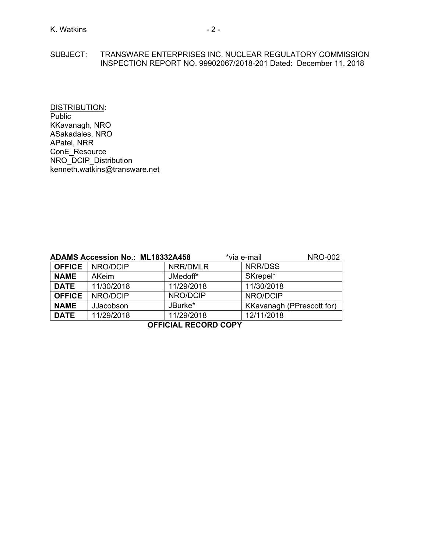#### SUBJECT: TRANSWARE ENTERPRISES INC. NUCLEAR REGULATORY COMMISSION INSPECTION REPORT NO. 99902067/2018-201 Dated: December 11, 2018

DISTRIBUTION: Public KKavanagh, NRO ASakadales, NRO APatel, NRR ConE\_Resource NRO\_DCIP\_Distribution kenneth.watkins@transware.net

| <b>ADAMS Accession No.: ML18332A458</b> |            |            | *via e-mail                      | <b>NRO-002</b> |
|-----------------------------------------|------------|------------|----------------------------------|----------------|
| <b>OFFICE</b>                           | NRO/DCIP   | NRR/DMLR   | NRR/DSS                          |                |
| <b>NAME</b>                             | AKeim      | JMedoff*   | SKrepel*                         |                |
| <b>DATE</b>                             | 11/30/2018 | 11/29/2018 | 11/30/2018                       |                |
| <b>OFFICE</b>                           | NRO/DCIP   | NRO/DCIP   | NRO/DCIP                         |                |
| <b>NAME</b>                             | JJacobson  | JBurke*    | <b>KKavanagh (PPrescott for)</b> |                |
| <b>DATE</b>                             | 11/29/2018 | 11/29/2018 | 12/11/2018                       |                |

**OFFICIAL RECORD COPY**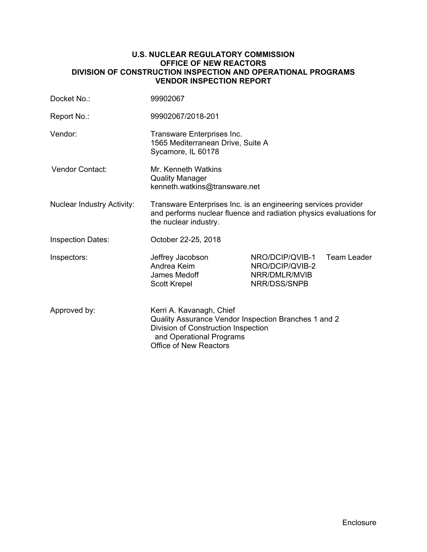#### **U.S. NUCLEAR REGULATORY COMMISSION OFFICE OF NEW REACTORS DIVISION OF CONSTRUCTION INSPECTION AND OPERATIONAL PROGRAMS VENDOR INSPECTION REPORT**

| Docket No.:                       | 99902067                                                                                                                                                                             |                                                                     |                    |  |  |
|-----------------------------------|--------------------------------------------------------------------------------------------------------------------------------------------------------------------------------------|---------------------------------------------------------------------|--------------------|--|--|
| Report No.:                       | 99902067/2018-201                                                                                                                                                                    |                                                                     |                    |  |  |
| Vendor:                           | Transware Enterprises Inc.<br>1565 Mediterranean Drive, Suite A<br>Sycamore, IL 60178                                                                                                |                                                                     |                    |  |  |
| <b>Vendor Contact:</b>            | Mr. Kenneth Watkins<br><b>Quality Manager</b><br>kenneth.watkins@transware.net                                                                                                       |                                                                     |                    |  |  |
| <b>Nuclear Industry Activity:</b> | Transware Enterprises Inc. is an engineering services provider<br>and performs nuclear fluence and radiation physics evaluations for<br>the nuclear industry.                        |                                                                     |                    |  |  |
| <b>Inspection Dates:</b>          | October 22-25, 2018                                                                                                                                                                  |                                                                     |                    |  |  |
| Inspectors:                       | Jeffrey Jacobson<br>Andrea Keim<br>James Medoff<br><b>Scott Krepel</b>                                                                                                               | NRO/DCIP/QVIB-1<br>NRO/DCIP/QVIB-2<br>NRR/DMLR/MVIB<br>NRR/DSS/SNPB | <b>Team Leader</b> |  |  |
| Approved by:                      | Kerri A. Kavanagh, Chief<br>Quality Assurance Vendor Inspection Branches 1 and 2<br>Division of Construction Inspection<br>and Operational Programs<br><b>Office of New Reactors</b> |                                                                     |                    |  |  |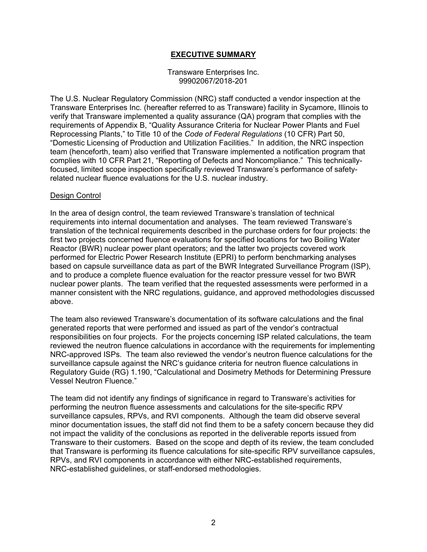## **EXECUTIVE SUMMARY**

#### Transware Enterprises Inc. 99902067/2018-201

The U.S. Nuclear Regulatory Commission (NRC) staff conducted a vendor inspection at the Transware Enterprises Inc. (hereafter referred to as Transware) facility in Sycamore, Illinois to verify that Transware implemented a quality assurance (QA) program that complies with the requirements of Appendix B, "Quality Assurance Criteria for Nuclear Power Plants and Fuel Reprocessing Plants," to Title 10 of the *Code of Federal Regulations* (10 CFR) Part 50, "Domestic Licensing of Production and Utilization Facilities." In addition, the NRC inspection team (henceforth, team) also verified that Transware implemented a notification program that complies with 10 CFR Part 21, "Reporting of Defects and Noncompliance." This technicallyfocused, limited scope inspection specifically reviewed Transware's performance of safetyrelated nuclear fluence evaluations for the U.S. nuclear industry.

#### Design Control

In the area of design control, the team reviewed Transware's translation of technical requirements into internal documentation and analyses. The team reviewed Transware's translation of the technical requirements described in the purchase orders for four projects: the first two projects concerned fluence evaluations for specified locations for two Boiling Water Reactor (BWR) nuclear power plant operators; and the latter two projects covered work performed for Electric Power Research Institute (EPRI) to perform benchmarking analyses based on capsule surveillance data as part of the BWR Integrated Surveillance Program (ISP), and to produce a complete fluence evaluation for the reactor pressure vessel for two BWR nuclear power plants. The team verified that the requested assessments were performed in a manner consistent with the NRC regulations, guidance, and approved methodologies discussed above.

The team also reviewed Transware's documentation of its software calculations and the final generated reports that were performed and issued as part of the vendor's contractual responsibilities on four projects. For the projects concerning ISP related calculations, the team reviewed the neutron fluence calculations in accordance with the requirements for implementing NRC-approved ISPs. The team also reviewed the vendor's neutron fluence calculations for the surveillance capsule against the NRC's guidance criteria for neutron fluence calculations in Regulatory Guide (RG) 1.190, "Calculational and Dosimetry Methods for Determining Pressure Vessel Neutron Fluence."

The team did not identify any findings of significance in regard to Transware's activities for performing the neutron fluence assessments and calculations for the site-specific RPV surveillance capsules, RPVs, and RVI components. Although the team did observe several minor documentation issues, the staff did not find them to be a safety concern because they did not impact the validity of the conclusions as reported in the deliverable reports issued from Transware to their customers. Based on the scope and depth of its review, the team concluded that Transware is performing its fluence calculations for site-specific RPV surveillance capsules, RPVs, and RVI components in accordance with either NRC-established requirements, NRC-established guidelines, or staff-endorsed methodologies.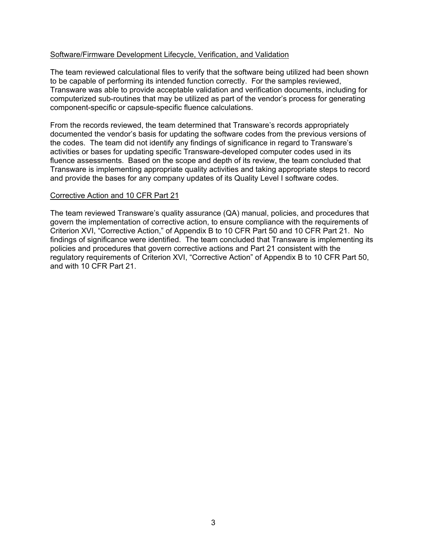### Software/Firmware Development Lifecycle, Verification, and Validation

The team reviewed calculational files to verify that the software being utilized had been shown to be capable of performing its intended function correctly. For the samples reviewed, Transware was able to provide acceptable validation and verification documents, including for computerized sub-routines that may be utilized as part of the vendor's process for generating component-specific or capsule-specific fluence calculations.

From the records reviewed, the team determined that Transware's records appropriately documented the vendor's basis for updating the software codes from the previous versions of the codes. The team did not identify any findings of significance in regard to Transware's activities or bases for updating specific Transware-developed computer codes used in its fluence assessments. Based on the scope and depth of its review, the team concluded that Transware is implementing appropriate quality activities and taking appropriate steps to record and provide the bases for any company updates of its Quality Level I software codes.

#### Corrective Action and 10 CFR Part 21

The team reviewed Transware's quality assurance (QA) manual, policies, and procedures that govern the implementation of corrective action, to ensure compliance with the requirements of Criterion XVI, "Corrective Action," of Appendix B to 10 CFR Part 50 and 10 CFR Part 21. No findings of significance were identified. The team concluded that Transware is implementing its policies and procedures that govern corrective actions and Part 21 consistent with the regulatory requirements of Criterion XVI, "Corrective Action" of Appendix B to 10 CFR Part 50, and with 10 CFR Part 21.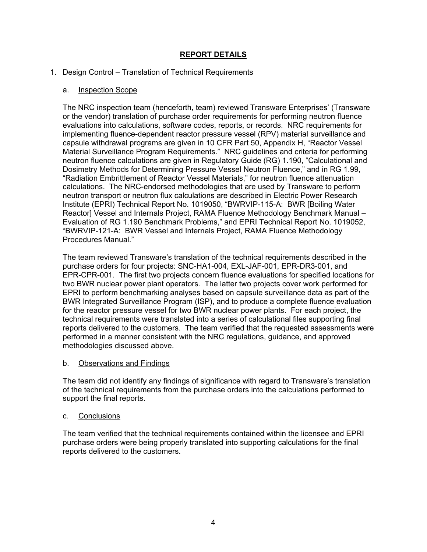# **REPORT DETAILS**

## 1. Design Control – Translation of Technical Requirements

## a. Inspection Scope

The NRC inspection team (henceforth, team) reviewed Transware Enterprises' (Transware or the vendor) translation of purchase order requirements for performing neutron fluence evaluations into calculations, software codes, reports, or records. NRC requirements for implementing fluence-dependent reactor pressure vessel (RPV) material surveillance and capsule withdrawal programs are given in 10 CFR Part 50, Appendix H, "Reactor Vessel Material Surveillance Program Requirements." NRC guidelines and criteria for performing neutron fluence calculations are given in Regulatory Guide (RG) 1.190, "Calculational and Dosimetry Methods for Determining Pressure Vessel Neutron Fluence," and in RG 1.99, "Radiation Embrittlement of Reactor Vessel Materials," for neutron fluence attenuation calculations. The NRC-endorsed methodologies that are used by Transware to perform neutron transport or neutron flux calculations are described in Electric Power Research Institute (EPRI) Technical Report No. 1019050, "BWRVIP-115-A: BWR [Boiling Water Reactor] Vessel and Internals Project, RAMA Fluence Methodology Benchmark Manual – Evaluation of RG 1.190 Benchmark Problems," and EPRI Technical Report No. 1019052, "BWRVIP-121-A: BWR Vessel and Internals Project, RAMA Fluence Methodology Procedures Manual."

The team reviewed Transware's translation of the technical requirements described in the purchase orders for four projects: SNC-HA1-004, EXL-JAF-001, EPR-DR3-001, and EPR-CPR-001. The first two projects concern fluence evaluations for specified locations for two BWR nuclear power plant operators. The latter two projects cover work performed for EPRI to perform benchmarking analyses based on capsule surveillance data as part of the BWR Integrated Surveillance Program (ISP), and to produce a complete fluence evaluation for the reactor pressure vessel for two BWR nuclear power plants. For each project, the technical requirements were translated into a series of calculational files supporting final reports delivered to the customers. The team verified that the requested assessments were performed in a manner consistent with the NRC regulations, guidance, and approved methodologies discussed above.

## b. Observations and Findings

The team did not identify any findings of significance with regard to Transware's translation of the technical requirements from the purchase orders into the calculations performed to support the final reports.

## c. Conclusions

The team verified that the technical requirements contained within the licensee and EPRI purchase orders were being properly translated into supporting calculations for the final reports delivered to the customers.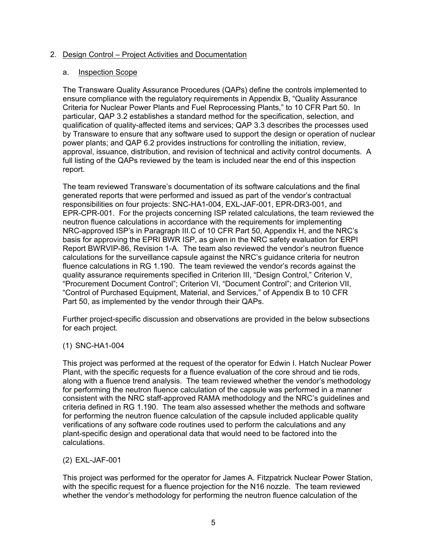### 2. Design Control – Project Activities and Documentation

#### a. Inspection Scope

The Transware Quality Assurance Procedures (QAPs) define the controls implemented to ensure compliance with the regulatory requirements in Appendix B, "Quality Assurance Criteria for Nuclear Power Plants and Fuel Reprocessing Plants," to 10 CFR Part 50. In particular, QAP 3.2 establishes a standard method for the specification, selection, and qualification of quality-affected items and services; QAP 3.3 describes the processes used by Transware to ensure that any software used to support the design or operation of nuclear power plants; and QAP 6.2 provides instructions for controlling the initiation, review, approval, issuance, distribution, and revision of technical and activity control documents. A full listing of the QAPs reviewed by the team is included near the end of this inspection report.

The team reviewed Transware's documentation of its software calculations and the final generated reports that were performed and issued as part of the vendor's contractual responsibilities on four projects: SNC-HA1-004, EXL-JAF-001, EPR-DR3-001, and EPR-CPR-001. For the projects concerning ISP related calculations, the team reviewed the neutron fluence calculations in accordance with the requirements for implementing NRC-approved ISP's in Paragraph III.C of 10 CFR Part 50, Appendix H, and the NRC's basis for approving the EPRI BWR ISP, as given in the NRC safety evaluation for ERPI Report BWRVIP-86, Revision 1-A. The team also reviewed the vendor's neutron fluence calculations for the surveillance capsule against the NRC's guidance criteria for neutron fluence calculations in RG 1.190. The team reviewed the vendor's records against the quality assurance requirements specified in Criterion III, "Design Control," Criterion V, "Procurement Document Control"; Criterion VI, "Document Control"; and Criterion VII, "Control of Purchased Equipment, Material, and Services," of Appendix B to 10 CFR Part 50, as implemented by the vendor through their QAPs.

Further project-specific discussion and observations are provided in the below subsections for each project.

#### (1) SNC-HA1-004

This project was performed at the request of the operator for Edwin I. Hatch Nuclear Power Plant, with the specific requests for a fluence evaluation of the core shroud and tie rods, along with a fluence trend analysis. The team reviewed whether the vendor's methodology for performing the neutron fluence calculation of the capsule was performed in a manner consistent with the NRC staff-approved RAMA methodology and the NRC's guidelines and criteria defined in RG 1.190. The team also assessed whether the methods and software for performing the neutron fluence calculation of the capsule included applicable quality verifications of any software code routines used to perform the calculations and any plant-specific design and operational data that would need to be factored into the calculations.

## (2) EXL-JAF-001

This project was performed for the operator for James A. Fitzpatrick Nuclear Power Station, with the specific request for a fluence projection for the N16 nozzle. The team reviewed whether the vendor's methodology for performing the neutron fluence calculation of the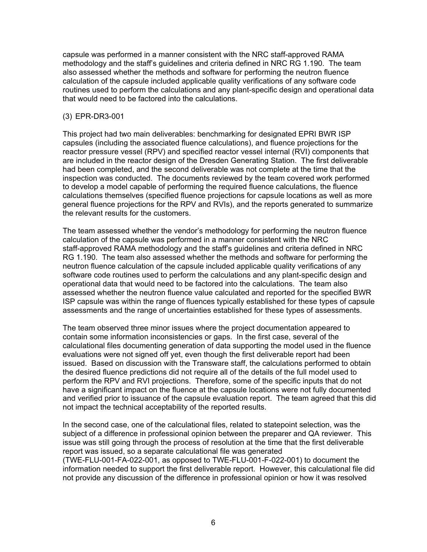capsule was performed in a manner consistent with the NRC staff-approved RAMA methodology and the staff's guidelines and criteria defined in NRC RG 1.190. The team also assessed whether the methods and software for performing the neutron fluence calculation of the capsule included applicable quality verifications of any software code routines used to perform the calculations and any plant-specific design and operational data that would need to be factored into the calculations.

### (3) EPR-DR3-001

This project had two main deliverables: benchmarking for designated EPRI BWR ISP capsules (including the associated fluence calculations), and fluence projections for the reactor pressure vessel (RPV) and specified reactor vessel internal (RVI) components that are included in the reactor design of the Dresden Generating Station. The first deliverable had been completed, and the second deliverable was not complete at the time that the inspection was conducted. The documents reviewed by the team covered work performed to develop a model capable of performing the required fluence calculations, the fluence calculations themselves (specified fluence projections for capsule locations as well as more general fluence projections for the RPV and RVIs), and the reports generated to summarize the relevant results for the customers.

The team assessed whether the vendor's methodology for performing the neutron fluence calculation of the capsule was performed in a manner consistent with the NRC staff-approved RAMA methodology and the staff's guidelines and criteria defined in NRC RG 1.190. The team also assessed whether the methods and software for performing the neutron fluence calculation of the capsule included applicable quality verifications of any software code routines used to perform the calculations and any plant-specific design and operational data that would need to be factored into the calculations. The team also assessed whether the neutron fluence value calculated and reported for the specified BWR ISP capsule was within the range of fluences typically established for these types of capsule assessments and the range of uncertainties established for these types of assessments.

The team observed three minor issues where the project documentation appeared to contain some information inconsistencies or gaps. In the first case, several of the calculational files documenting generation of data supporting the model used in the fluence evaluations were not signed off yet, even though the first deliverable report had been issued. Based on discussion with the Transware staff, the calculations performed to obtain the desired fluence predictions did not require all of the details of the full model used to perform the RPV and RVI projections. Therefore, some of the specific inputs that do not have a significant impact on the fluence at the capsule locations were not fully documented and verified prior to issuance of the capsule evaluation report. The team agreed that this did not impact the technical acceptability of the reported results.

In the second case, one of the calculational files, related to statepoint selection, was the subject of a difference in professional opinion between the preparer and QA reviewer. This issue was still going through the process of resolution at the time that the first deliverable report was issued, so a separate calculational file was generated (TWE-FLU-001-FA-022-001, as opposed to TWE-FLU-001-F-022-001) to document the information needed to support the first deliverable report. However, this calculational file did not provide any discussion of the difference in professional opinion or how it was resolved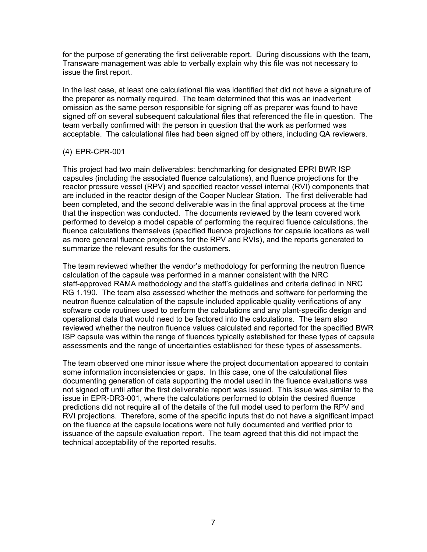for the purpose of generating the first deliverable report. During discussions with the team, Transware management was able to verbally explain why this file was not necessary to issue the first report.

In the last case, at least one calculational file was identified that did not have a signature of the preparer as normally required. The team determined that this was an inadvertent omission as the same person responsible for signing off as preparer was found to have signed off on several subsequent calculational files that referenced the file in question. The team verbally confirmed with the person in question that the work as performed was acceptable. The calculational files had been signed off by others, including QA reviewers.

## (4) EPR-CPR-001

This project had two main deliverables: benchmarking for designated EPRI BWR ISP capsules (including the associated fluence calculations), and fluence projections for the reactor pressure vessel (RPV) and specified reactor vessel internal (RVI) components that are included in the reactor design of the Cooper Nuclear Station. The first deliverable had been completed, and the second deliverable was in the final approval process at the time that the inspection was conducted. The documents reviewed by the team covered work performed to develop a model capable of performing the required fluence calculations, the fluence calculations themselves (specified fluence projections for capsule locations as well as more general fluence projections for the RPV and RVIs), and the reports generated to summarize the relevant results for the customers.

The team reviewed whether the vendor's methodology for performing the neutron fluence calculation of the capsule was performed in a manner consistent with the NRC staff-approved RAMA methodology and the staff's guidelines and criteria defined in NRC RG 1.190. The team also assessed whether the methods and software for performing the neutron fluence calculation of the capsule included applicable quality verifications of any software code routines used to perform the calculations and any plant-specific design and operational data that would need to be factored into the calculations. The team also reviewed whether the neutron fluence values calculated and reported for the specified BWR ISP capsule was within the range of fluences typically established for these types of capsule assessments and the range of uncertainties established for these types of assessments.

The team observed one minor issue where the project documentation appeared to contain some information inconsistencies or gaps. In this case, one of the calculational files documenting generation of data supporting the model used in the fluence evaluations was not signed off until after the first deliverable report was issued. This issue was similar to the issue in EPR-DR3-001, where the calculations performed to obtain the desired fluence predictions did not require all of the details of the full model used to perform the RPV and RVI projections. Therefore, some of the specific inputs that do not have a significant impact on the fluence at the capsule locations were not fully documented and verified prior to issuance of the capsule evaluation report. The team agreed that this did not impact the technical acceptability of the reported results.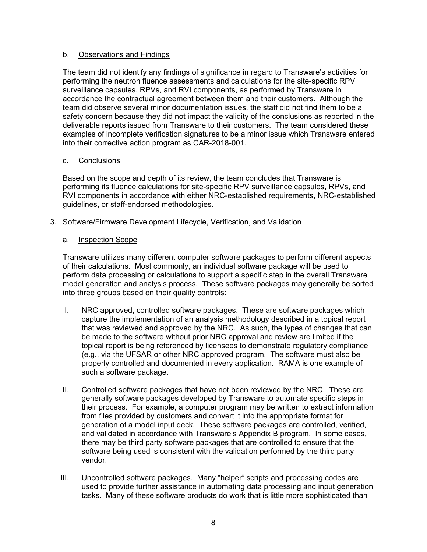## b. Observations and Findings

The team did not identify any findings of significance in regard to Transware's activities for performing the neutron fluence assessments and calculations for the site-specific RPV surveillance capsules, RPVs, and RVI components, as performed by Transware in accordance the contractual agreement between them and their customers. Although the team did observe several minor documentation issues, the staff did not find them to be a safety concern because they did not impact the validity of the conclusions as reported in the deliverable reports issued from Transware to their customers. The team considered these examples of incomplete verification signatures to be a minor issue which Transware entered into their corrective action program as CAR-2018-001.

## c. Conclusions

Based on the scope and depth of its review, the team concludes that Transware is performing its fluence calculations for site-specific RPV surveillance capsules, RPVs, and RVI components in accordance with either NRC-established requirements, NRC-established guidelines, or staff-endorsed methodologies.

## 3. Software/Firmware Development Lifecycle, Verification, and Validation

## a. Inspection Scope

Transware utilizes many different computer software packages to perform different aspects of their calculations. Most commonly, an individual software package will be used to perform data processing or calculations to support a specific step in the overall Transware model generation and analysis process. These software packages may generally be sorted into three groups based on their quality controls:

- I. NRC approved, controlled software packages. These are software packages which capture the implementation of an analysis methodology described in a topical report that was reviewed and approved by the NRC. As such, the types of changes that can be made to the software without prior NRC approval and review are limited if the topical report is being referenced by licensees to demonstrate regulatory compliance (e.g., via the UFSAR or other NRC approved program. The software must also be properly controlled and documented in every application. RAMA is one example of such a software package.
- II. Controlled software packages that have not been reviewed by the NRC. These are generally software packages developed by Transware to automate specific steps in their process. For example, a computer program may be written to extract information from files provided by customers and convert it into the appropriate format for generation of a model input deck. These software packages are controlled, verified, and validated in accordance with Transware's Appendix B program. In some cases, there may be third party software packages that are controlled to ensure that the software being used is consistent with the validation performed by the third party vendor.
- III. Uncontrolled software packages. Many "helper" scripts and processing codes are used to provide further assistance in automating data processing and input generation tasks. Many of these software products do work that is little more sophisticated than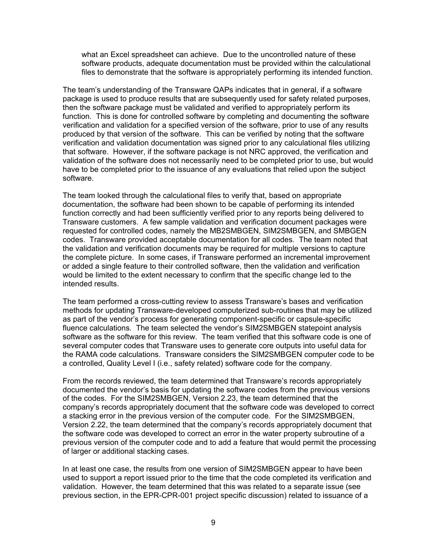what an Excel spreadsheet can achieve. Due to the uncontrolled nature of these software products, adequate documentation must be provided within the calculational files to demonstrate that the software is appropriately performing its intended function.

The team's understanding of the Transware QAPs indicates that in general, if a software package is used to produce results that are subsequently used for safety related purposes, then the software package must be validated and verified to appropriately perform its function. This is done for controlled software by completing and documenting the software verification and validation for a specified version of the software, prior to use of any results produced by that version of the software. This can be verified by noting that the software verification and validation documentation was signed prior to any calculational files utilizing that software. However, if the software package is not NRC approved, the verification and validation of the software does not necessarily need to be completed prior to use, but would have to be completed prior to the issuance of any evaluations that relied upon the subject software.

The team looked through the calculational files to verify that, based on appropriate documentation, the software had been shown to be capable of performing its intended function correctly and had been sufficiently verified prior to any reports being delivered to Transware customers. A few sample validation and verification document packages were requested for controlled codes, namely the MB2SMBGEN, SIM2SMBGEN, and SMBGEN codes. Transware provided acceptable documentation for all codes. The team noted that the validation and verification documents may be required for multiple versions to capture the complete picture. In some cases, if Transware performed an incremental improvement or added a single feature to their controlled software, then the validation and verification would be limited to the extent necessary to confirm that the specific change led to the intended results.

The team performed a cross-cutting review to assess Transware's bases and verification methods for updating Transware-developed computerized sub-routines that may be utilized as part of the vendor's process for generating component-specific or capsule-specific fluence calculations. The team selected the vendor's SIM2SMBGEN statepoint analysis software as the software for this review. The team verified that this software code is one of several computer codes that Transware uses to generate core outputs into useful data for the RAMA code calculations. Transware considers the SIM2SMBGEN computer code to be a controlled, Quality Level I (i.e., safety related) software code for the company.

From the records reviewed, the team determined that Transware's records appropriately documented the vendor's basis for updating the software codes from the previous versions of the codes. For the SIM2SMBGEN, Version 2.23, the team determined that the company's records appropriately document that the software code was developed to correct a stacking error in the previous version of the computer code. For the SIM2SMBGEN, Version 2.22, the team determined that the company's records appropriately document that the software code was developed to correct an error in the water property subroutine of a previous version of the computer code and to add a feature that would permit the processing of larger or additional stacking cases.

In at least one case, the results from one version of SIM2SMBGEN appear to have been used to support a report issued prior to the time that the code completed its verification and validation. However, the team determined that this was related to a separate issue (see previous section, in the EPR-CPR-001 project specific discussion) related to issuance of a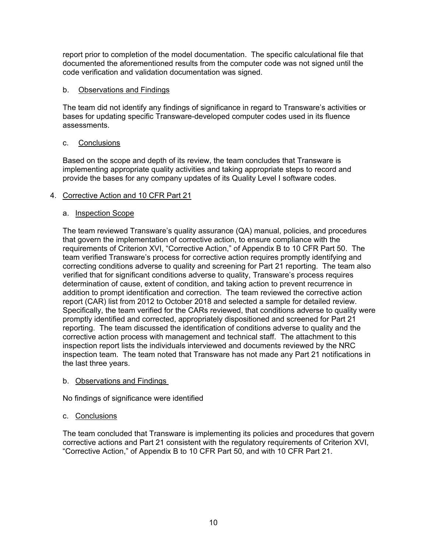report prior to completion of the model documentation. The specific calculational file that documented the aforementioned results from the computer code was not signed until the code verification and validation documentation was signed.

## b. Observations and Findings

The team did not identify any findings of significance in regard to Transware's activities or bases for updating specific Transware-developed computer codes used in its fluence assessments.

## c. Conclusions

Based on the scope and depth of its review, the team concludes that Transware is implementing appropriate quality activities and taking appropriate steps to record and provide the bases for any company updates of its Quality Level I software codes.

## 4. Corrective Action and 10 CFR Part 21

## a. Inspection Scope

The team reviewed Transware's quality assurance (QA) manual, policies, and procedures that govern the implementation of corrective action, to ensure compliance with the requirements of Criterion XVI, "Corrective Action," of Appendix B to 10 CFR Part 50. The team verified Transware's process for corrective action requires promptly identifying and correcting conditions adverse to quality and screening for Part 21 reporting. The team also verified that for significant conditions adverse to quality, Transware's process requires determination of cause, extent of condition, and taking action to prevent recurrence in addition to prompt identification and correction. The team reviewed the corrective action report (CAR) list from 2012 to October 2018 and selected a sample for detailed review. Specifically, the team verified for the CARs reviewed, that conditions adverse to quality were promptly identified and corrected, appropriately dispositioned and screened for Part 21 reporting. The team discussed the identification of conditions adverse to quality and the corrective action process with management and technical staff. The attachment to this inspection report lists the individuals interviewed and documents reviewed by the NRC inspection team. The team noted that Transware has not made any Part 21 notifications in the last three years.

## b. Observations and Findings

No findings of significance were identified

# c. Conclusions

The team concluded that Transware is implementing its policies and procedures that govern corrective actions and Part 21 consistent with the regulatory requirements of Criterion XVI, "Corrective Action," of Appendix B to 10 CFR Part 50, and with 10 CFR Part 21.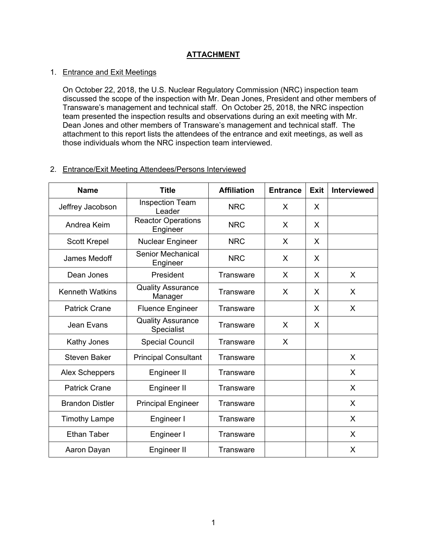## **ATTACHMENT**

### 1. Entrance and Exit Meetings

On October 22, 2018, the U.S. Nuclear Regulatory Commission (NRC) inspection team discussed the scope of the inspection with Mr. Dean Jones, President and other members of Transware's management and technical staff. On October 25, 2018, the NRC inspection team presented the inspection results and observations during an exit meeting with Mr. Dean Jones and other members of Transware's management and technical staff. The attachment to this report lists the attendees of the entrance and exit meetings, as well as those individuals whom the NRC inspection team interviewed.

## 2. Entrance/Exit Meeting Attendees/Persons Interviewed

| <b>Name</b>            | <b>Title</b>                           | <b>Affiliation</b> | <b>Entrance</b> | <b>Exit</b> | <b>Interviewed</b> |
|------------------------|----------------------------------------|--------------------|-----------------|-------------|--------------------|
| Jeffrey Jacobson       | <b>Inspection Team</b><br>Leader       | <b>NRC</b>         | X               | X           |                    |
| Andrea Keim            | <b>Reactor Operations</b><br>Engineer  | <b>NRC</b>         | X               | X           |                    |
| <b>Scott Krepel</b>    | <b>Nuclear Engineer</b>                | <b>NRC</b>         | X               | X           |                    |
| James Medoff           | Senior Mechanical<br>Engineer          | <b>NRC</b>         | X               | X           |                    |
| Dean Jones             | President                              | Transware          | X               | X           | X                  |
| <b>Kenneth Watkins</b> | <b>Quality Assurance</b><br>Manager    | Transware          | X               | X           | X                  |
| <b>Patrick Crane</b>   | <b>Fluence Engineer</b>                | <b>Transware</b>   |                 | X           | X                  |
| Jean Evans             | <b>Quality Assurance</b><br>Specialist | Transware          | X               | X           |                    |
| Kathy Jones            | <b>Special Council</b>                 | Transware          | X               |             |                    |
| <b>Steven Baker</b>    | <b>Principal Consultant</b>            | Transware          |                 |             | X                  |
| <b>Alex Scheppers</b>  | Engineer II                            | <b>Transware</b>   |                 |             | X                  |
| <b>Patrick Crane</b>   | Engineer II                            | Transware          |                 |             | X                  |
| <b>Brandon Distler</b> | <b>Principal Engineer</b>              | Transware          |                 |             | X                  |
| <b>Timothy Lampe</b>   | Engineer I                             | <b>Transware</b>   |                 |             | X                  |
| <b>Ethan Taber</b>     | Engineer I                             | <b>Transware</b>   |                 |             | X                  |
| Aaron Dayan            | Engineer II                            | Transware          |                 |             | X                  |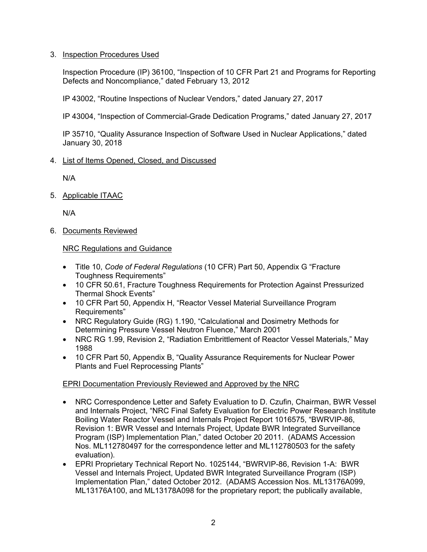## 3. Inspection Procedures Used

Inspection Procedure (IP) 36100, "Inspection of 10 CFR Part 21 and Programs for Reporting Defects and Noncompliance," dated February 13, 2012

IP 43002, "Routine Inspections of Nuclear Vendors," dated January 27, 2017

IP 43004, "Inspection of Commercial-Grade Dedication Programs," dated January 27, 2017

IP 35710, "Quality Assurance Inspection of Software Used in Nuclear Applications," dated January 30, 2018

## 4. List of Items Opened, Closed, and Discussed

N/A

5. Applicable ITAAC

N/A

6. Documents Reviewed

## NRC Regulations and Guidance

- Title 10, *Code of Federal Regulations* (10 CFR) Part 50, Appendix G "Fracture Toughness Requirements"
- 10 CFR 50.61, Fracture Toughness Requirements for Protection Against Pressurized Thermal Shock Events"
- 10 CFR Part 50, Appendix H, "Reactor Vessel Material Surveillance Program Requirements"
- NRC Regulatory Guide (RG) 1.190, "Calculational and Dosimetry Methods for Determining Pressure Vessel Neutron Fluence," March 2001
- NRC RG 1.99, Revision 2, "Radiation Embrittlement of Reactor Vessel Materials," May 1988
- 10 CFR Part 50, Appendix B, "Quality Assurance Requirements for Nuclear Power Plants and Fuel Reprocessing Plants"

# EPRI Documentation Previously Reviewed and Approved by the NRC

- NRC Correspondence Letter and Safety Evaluation to D. Czufin, Chairman, BWR Vessel and Internals Project, "NRC Final Safety Evaluation for Electric Power Research Institute Boiling Water Reactor Vessel and Internals Project Report 1016575, "BWRVIP-86, Revision 1: BWR Vessel and Internals Project, Update BWR Integrated Surveillance Program (ISP) Implementation Plan," dated October 20 2011. (ADAMS Accession Nos. ML112780497 for the correspondence letter and ML112780503 for the safety evaluation).
- EPRI Proprietary Technical Report No. 1025144, "BWRVIP-86, Revision 1-A: BWR Vessel and Internals Project, Updated BWR Integrated Surveillance Program (ISP) Implementation Plan," dated October 2012. (ADAMS Accession Nos. ML13176A099, ML13176A100, and ML13178A098 for the proprietary report; the publically available,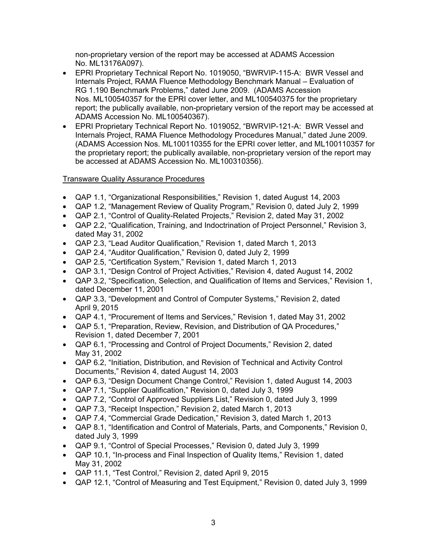non-proprietary version of the report may be accessed at ADAMS Accession No. ML13176A097).

- EPRI Proprietary Technical Report No. 1019050, "BWRVIP-115-A: BWR Vessel and Internals Project, RAMA Fluence Methodology Benchmark Manual – Evaluation of RG 1.190 Benchmark Problems," dated June 2009. (ADAMS Accession Nos. ML100540357 for the EPRI cover letter, and ML100540375 for the proprietary report; the publically available, non-proprietary version of the report may be accessed at ADAMS Accession No. ML100540367).
- EPRI Proprietary Technical Report No. 1019052, "BWRVIP-121-A: BWR Vessel and Internals Project, RAMA Fluence Methodology Procedures Manual," dated June 2009. (ADAMS Accession Nos. ML100110355 for the EPRI cover letter, and ML100110357 for the proprietary report; the publically available, non-proprietary version of the report may be accessed at ADAMS Accession No. ML100310356).

## Transware Quality Assurance Procedures

- QAP 1.1, "Organizational Responsibilities," Revision 1, dated August 14, 2003
- QAP 1.2, "Management Review of Quality Program," Revision 0, dated July 2, 1999
- QAP 2.1, "Control of Quality-Related Projects," Revision 2, dated May 31, 2002
- QAP 2.2, "Qualification, Training, and Indoctrination of Project Personnel," Revision 3, dated May 31, 2002
- QAP 2.3, "Lead Auditor Qualification," Revision 1, dated March 1, 2013
- QAP 2.4, "Auditor Qualification," Revision 0, dated July 2, 1999
- QAP 2.5, "Certification System," Revision 1, dated March 1, 2013
- QAP 3.1, "Design Control of Project Activities," Revision 4, dated August 14, 2002
- QAP 3.2, "Specification, Selection, and Qualification of Items and Services," Revision 1, dated December 11, 2001
- QAP 3.3, "Development and Control of Computer Systems," Revision 2, dated April 9, 2015
- QAP 4.1, "Procurement of Items and Services," Revision 1, dated May 31, 2002
- QAP 5.1, "Preparation, Review, Revision, and Distribution of QA Procedures," Revision 1, dated December 7, 2001
- QAP 6.1, "Processing and Control of Project Documents," Revision 2, dated May 31, 2002
- QAP 6.2, "Initiation, Distribution, and Revision of Technical and Activity Control Documents," Revision 4, dated August 14, 2003
- QAP 6.3, "Design Document Change Control," Revision 1, dated August 14, 2003
- QAP 7.1, "Supplier Qualification," Revision 0, dated July 3, 1999
- QAP 7.2, "Control of Approved Suppliers List," Revision 0, dated July 3, 1999
- QAP 7.3, "Receipt Inspection," Revision 2, dated March 1, 2013
- QAP 7.4, "Commercial Grade Dedication," Revision 3, dated March 1, 2013
- QAP 8.1, "Identification and Control of Materials, Parts, and Components," Revision 0, dated July 3, 1999
- QAP 9.1, "Control of Special Processes," Revision 0, dated July 3, 1999
- QAP 10.1, "In-process and Final Inspection of Quality Items," Revision 1, dated May 31, 2002
- QAP 11.1, "Test Control," Revision 2, dated April 9, 2015
- QAP 12.1, "Control of Measuring and Test Equipment," Revision 0, dated July 3, 1999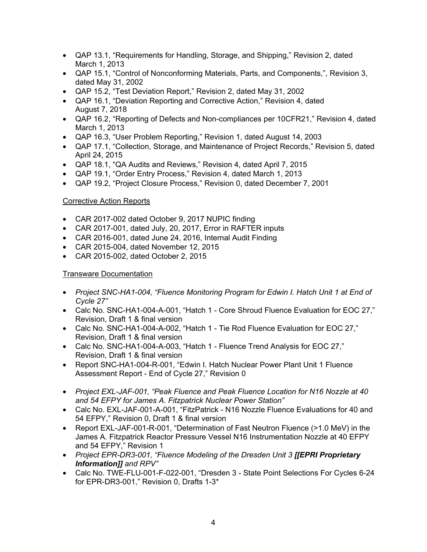- QAP 13.1, "Requirements for Handling, Storage, and Shipping," Revision 2, dated March 1, 2013
- QAP 15.1, "Control of Nonconforming Materials, Parts, and Components,", Revision 3, dated May 31, 2002
- QAP 15.2, "Test Deviation Report," Revision 2, dated May 31, 2002
- QAP 16.1, "Deviation Reporting and Corrective Action," Revision 4, dated August 7, 2018
- QAP 16.2, "Reporting of Defects and Non-compliances per 10CFR21," Revision 4, dated March 1, 2013
- QAP 16.3, "User Problem Reporting," Revision 1, dated August 14, 2003
- QAP 17.1, "Collection, Storage, and Maintenance of Project Records," Revision 5, dated April 24, 2015
- QAP 18.1, "QA Audits and Reviews," Revision 4, dated April 7, 2015
- QAP 19.1, "Order Entry Process," Revision 4, dated March 1, 2013
- QAP 19.2, "Project Closure Process," Revision 0, dated December 7, 2001

# Corrective Action Reports

- CAR 2017-002 dated October 9, 2017 NUPIC finding
- CAR 2017-001, dated July, 20, 2017, Error in RAFTER inputs
- CAR 2016-001, dated June 24, 2016, Internal Audit Finding
- CAR 2015-004, dated November 12, 2015
- CAR 2015-002, dated October 2, 2015

# Transware Documentation

- *Project SNC-HA1-004, "Fluence Monitoring Program for Edwin I. Hatch Unit 1 at End of Cycle 27"*
- Calc No. SNC-HA1-004-A-001, "Hatch 1 Core Shroud Fluence Evaluation for EOC 27," Revision, Draft 1 & final version
- Calc No. SNC-HA1-004-A-002, "Hatch 1 Tie Rod Fluence Evaluation for EOC 27," Revision, Draft 1 & final version
- Calc No. SNC-HA1-004-A-003, "Hatch 1 Fluence Trend Analysis for EOC 27," Revision, Draft 1 & final version
- Report SNC-HA1-004-R-001, "Edwin I. Hatch Nuclear Power Plant Unit 1 Fluence Assessment Report - End of Cycle 27," Revision 0
- *Project EXL-JAF-001, "Peak Fluence and Peak Fluence Location for N16 Nozzle at 40 and 54 EFPY for James A. Fitzpatrick Nuclear Power Station"*
- Calc No. EXL-JAF-001-A-001, "FitzPatrick N16 Nozzle Fluence Evaluations for 40 and 54 EFPY," Revision 0, Draft 1 & final version
- Report EXL-JAF-001-R-001, "Determination of Fast Neutron Fluence (>1.0 MeV) in the James A. Fitzpatrick Reactor Pressure Vessel N16 Instrumentation Nozzle at 40 EFPY and 54 EFPY," Revision 1
- *Project EPR-DR3-001, "Fluence Modeling of the Dresden Unit 3 [[EPRI Proprietary Information]] and RPV"*
- Calc No. TWE-FLU-001-F-022-001, "Dresden 3 State Point Selections For Cycles 6-24 for EPR-DR3-001," Revision 0, Drafts 1-3\*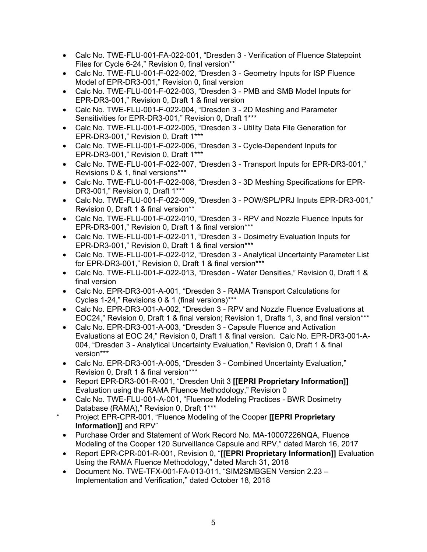- Calc No. TWE-FLU-001-FA-022-001, "Dresden 3 Verification of Fluence Statepoint Files for Cycle 6-24," Revision 0, final version\*\*
- Calc No. TWE-FLU-001-F-022-002, "Dresden 3 Geometry Inputs for ISP Fluence Model of EPR-DR3-001," Revision 0, final version
- Calc No. TWE-FLU-001-F-022-003, "Dresden 3 PMB and SMB Model Inputs for EPR-DR3-001," Revision 0, Draft 1 & final version
- Calc No. TWE-FLU-001-F-022-004, "Dresden 3 2D Meshing and Parameter Sensitivities for EPR-DR3-001," Revision 0, Draft 1\*\*\*
- Calc No. TWE-FLU-001-F-022-005, "Dresden 3 Utility Data File Generation for EPR-DR3-001," Revision 0, Draft 1\*\*\*
- Calc No. TWE-FLU-001-F-022-006, "Dresden 3 Cycle-Dependent Inputs for EPR-DR3-001," Revision 0, Draft 1\*\*\*
- Calc No. TWE-FLU-001-F-022-007, "Dresden 3 Transport Inputs for EPR-DR3-001," Revisions 0 & 1, final versions\*\*\*
- Calc No. TWE-FLU-001-F-022-008, "Dresden 3 3D Meshing Specifications for EPR-DR3-001," Revision 0, Draft 1\*\*\*
- Calc No. TWE-FLU-001-F-022-009, "Dresden 3 POW/SPL/PRJ Inputs EPR-DR3-001," Revision 0, Draft 1 & final version\*\*
- Calc No. TWE-FLU-001-F-022-010, "Dresden 3 RPV and Nozzle Fluence Inputs for EPR-DR3-001," Revision 0, Draft 1 & final version\*\*\*
- Calc No. TWE-FLU-001-F-022-011, "Dresden 3 Dosimetry Evaluation Inputs for EPR-DR3-001," Revision 0, Draft 1 & final version\*\*\*
- Calc No. TWE-FLU-001-F-022-012, "Dresden 3 Analytical Uncertainty Parameter List for EPR-DR3-001," Revision 0, Draft 1 & final version\*\*\*
- Calc No. TWE-FLU-001-F-022-013, "Dresden Water Densities," Revision 0, Draft 1 & final version
- Calc No. EPR-DR3-001-A-001, "Dresden 3 RAMA Transport Calculations for Cycles 1-24," Revisions 0 & 1 (final versions)\*\*\*
- Calc No. EPR-DR3-001-A-002, "Dresden 3 RPV and Nozzle Fluence Evaluations at EOC24," Revision 0, Draft 1 & final version; Revision 1, Drafts 1, 3, and final version\*\*\*
- Calc No. EPR-DR3-001-A-003, "Dresden 3 Capsule Fluence and Activation Evaluations at EOC 24," Revision 0, Draft 1 & final version. Calc No. EPR-DR3-001-A-004, "Dresden 3 - Analytical Uncertainty Evaluation," Revision 0, Draft 1 & final version\*\*\*
- Calc No. EPR-DR3-001-A-005, "Dresden 3 Combined Uncertainty Evaluation," Revision 0, Draft 1 & final version\*\*\*
- Report EPR-DR3-001-R-001, "Dresden Unit 3 **[[EPRI Proprietary Information]]** Evaluation using the RAMA Fluence Methodology," Revision 0
- Calc No. TWE-FLU-001-A-001, "Fluence Modeling Practices BWR Dosimetry Database (RAMA)," Revision 0, Draft 1\*\*\*
- \* Project EPR-CPR-001, "Fluence Modeling of the Cooper **[[EPRI Proprietary Information]]** and RPV"
- Purchase Order and Statement of Work Record No. MA-10007226NQA, Fluence Modeling of the Cooper 120 Surveillance Capsule and RPV," dated March 16, 2017
- Report EPR-CPR-001-R-001, Revision 0, "**[[EPRI Proprietary Information]]** Evaluation Using the RAMA Fluence Methodology," dated March 31, 2018
- Document No. TWE-TFX-001-FA-013-011, "SIM2SMBGEN Version 2.23 Implementation and Verification," dated October 18, 2018